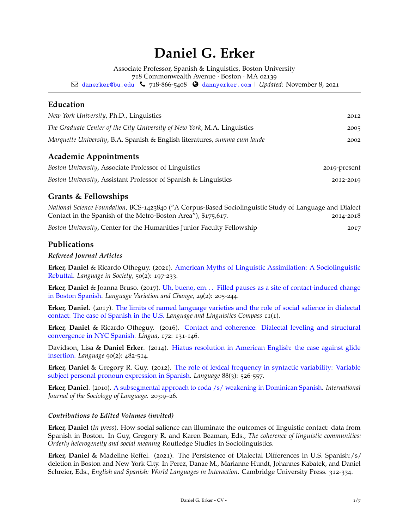# **Daniel G. Erker**

Associate Professor, Spanish & Linguistics, Boston University

718 Commonwealth Avenue · Boston · MA 02139

Q [danerker@bu.edu](mailto:) Ó 718-866-5408 [dannyerker.com](http://dannyerker.com) | *Updated:* November 8, 2021

# **Education**

| New York University, Ph.D., Linguistics<br>The Graduate Center of the City University of New York, M.A. Linguistics<br>Marquette University, B.A. Spanish & English literatures, summa cum laude | 2012<br>2005<br>2002 |                                                       |              |
|--------------------------------------------------------------------------------------------------------------------------------------------------------------------------------------------------|----------------------|-------------------------------------------------------|--------------|
|                                                                                                                                                                                                  |                      | <b>Academic Appointments</b>                          |              |
|                                                                                                                                                                                                  |                      | Boston University, Associate Professor of Linguistics | 2019-present |

*Boston University*, Assistant Professor of Spanish & Linguistics 2012-2019

# **Grants & Fellowships**

*National Science Foundation*, BCS-1423840 ("A Corpus-Based Sociolinguistic Study of Language and Dialect Contact in the Spanish of the Metro-Boston Area"), \$175,617. 2014-2018

*Boston University*, Center for the Humanities Junior Faculty Fellowship 2017

## **Publications**

## *Refereed Journal Articles*

**Erker, Daniel** & Ricardo Otheguy. (2021). [American Myths of Linguistic Assimilation: A Sociolinguistic](https://www.cambridge.org/core/journals/language-in-society/article/american-myths-of-linguistic-assimilation-a-sociolinguistic-rebuttal/B14EA8CED7771C734C6FD53836781DA3) [Rebuttal.](https://www.cambridge.org/core/journals/language-in-society/article/american-myths-of-linguistic-assimilation-a-sociolinguistic-rebuttal/B14EA8CED7771C734C6FD53836781DA3) *Language in Society*, 50(2): 197-233.

**Erker, Daniel** & Joanna Bruso. (2017). [Uh, bueno, em. . . Filled pauses as a site of contact-induced change](https://doi.org/10.1017/S0954394517000102) [in Boston Spanish.](https://doi.org/10.1017/S0954394517000102) *Language Variation and Change*, 29(2): 205-244.

**Erker, Daniel**. (2017). [The limits of named language varieties and the role of social salience in dialectal](http://dx.doi.org/10.1111/lnc3.12232) [contact: The case of Spanish in the U.S.](http://dx.doi.org/10.1111/lnc3.12232) *Language and Linguistics Compass* 11(1).

**Erker, Daniel** & Ricardo Otheguy. (2016). [Contact and coherence: Dialectal leveling and structural](https://doi.org/10.1016/j.lingua.2015.10.011) [convergence in NYC Spanish.](https://doi.org/10.1016/j.lingua.2015.10.011) *Lingua*, 172: 131-146.

Davidson, Lisa & **Daniel Erker**. (2014). [Hiatus resolution in American English: the case against glide](https://doi.org/10.1353/lan.2014.0028) [insertion.](https://doi.org/10.1353/lan.2014.0028) *Language* 90(2): 482-514.

**Erker, Daniel** & Gregory R. Guy. (2012). [The role of lexical frequency in syntactic variability: Variable](DOI:https://doi.org/10.1353/lan.2012.0050) [subject personal pronoun expression in Spanish.](DOI:https://doi.org/10.1353/lan.2012.0050) *Language* 88(3): 526-557.

**Erker, Daniel**. (2010). [A subsegmental approach to coda /s/ weakening in Dominican Spanish.](https://doi.org/10.1515/ijsl.2010.019) *International Journal of the Sociology of Language*. 203:9–26.

## *Contributions to Edited Volumes (invited)*

**Erker, Daniel** (*In press*). How social salience can illuminate the outcomes of linguistic contact: data from Spanish in Boston. In Guy, Gregory R. and Karen Beaman, Eds., *The coherence of linguistic communities: Orderly heterogeneity and social meaning* Routledge Studies in Sociolinguistics.

**Erker, Daniel** & Madeline Reffel. (2021). The Persistence of Dialectal Differences in U.S. Spanish:/s/ deletion in Boston and New York City. In Perez, Danae M., Marianne Hundt, Johannes Kabatek, and Daniel Schreier, Eds., *English and Spanish: World Languages in Interaction*. Cambridge University Press. 312-334.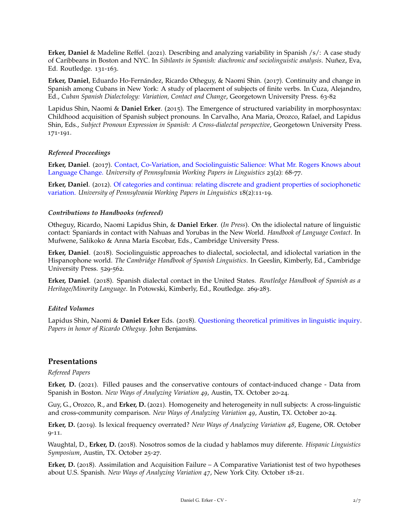**Erker, Daniel** & Madeline Reffel. (2021). Describing and analyzing variability in Spanish /s/: A case study of Caribbeans in Boston and NYC. In *Sibilants in Spanish: diachronic and sociolinguistic analysis*. Nuñez, Eva, Ed. Routledge. 131-163.

**Erker, Daniel**, Eduardo Ho-Fernández, Ricardo Otheguy, & Naomi Shin. (2017). Continuity and change in Spanish among Cubans in New York: A study of placement of subjects of finite verbs. In Cuza, Alejandro, Ed., *Cuban Spanish Dialectology: Variation, Contact and Change*, Georgetown University Press. 63-82

Lapidus Shin, Naomi & **Daniel Erker**. (2015). The Emergence of structured variability in morphosyntax: Childhood acquisition of Spanish subject pronouns. In Carvalho, Ana Maria, Orozco, Rafael, and Lapidus Shin, Eds., *Subject Pronoun Expression in Spanish: A Cross-dialectal perspective*, Georgetown University Press. 171-191.

#### *Refereed Proceedings*

**Erker, Daniel**. (2017). [Contact, Co-Variation, and Sociolinguistic Salience: What Mr. Rogers Knows about](https://repository.upenn.edu/pwpl/vol23/iss2/9) [Language Change.](https://repository.upenn.edu/pwpl/vol23/iss2/9) *University of Pennsylvania Working Papers in Linguistics* 23(2): 68-77.

**Erker, Daniel**. (2012). [Of categories and continua: relating discrete and gradient properties of sociophonetic](https://repository.upenn.edu/pwpl/vol18/iss2/3) [variation.](https://repository.upenn.edu/pwpl/vol18/iss2/3) *University of Pennsylvania Working Papers in Linguistics* 18(2):11-19.

#### *Contributions to Handbooks (refereed)*

Otheguy, Ricardo, Naomi Lapidus Shin, & **Daniel Erker**. (*In Press*). On the idiolectal nature of linguistic contact: Spaniards in contact with Nahuas and Yorubas in the New World. *Handbook of Language Contact*. In Mufwene, Salikoko & Anna María Escobar, Eds., Cambridge University Press.

**Erker, Daniel**. (2018). Sociolinguistic approaches to dialectal, sociolectal, and idiolectal variation in the Hispanophone world. *The Cambridge Handbook of Spanish Linguistics*. In Geeslin, Kimberly, Ed., Cambridge University Press. 529-562.

**Erker, Daniel**. (2018). Spanish dialectal contact in the United States. *Routledge Handbook of Spanish as a Heritage/Minority Language*. In Potowski, Kimberly, Ed., Routledge. 269-283.

#### *Edited Volumes*

Lapidus Shin, Naomi & **Daniel Erker** Eds. (2018). [Questioning theoretical primitives in linguistic inquiry.](http://dx.doi.org/10.1075/sfsl.76) *Papers in honor of Ricardo Otheguy*. John Benjamins.

## **Presentations**

#### *Refereed Papers*

**Erker, D.** (2021). Filled pauses and the conservative contours of contact-induced change - Data from Spanish in Boston. *New Ways of Analyzing Variation 49*, Austin, TX. October 20-24.

Guy, G., Orozco, R., and **Erker, D.** (2021). Homogeneity and heterogeneity in null subjects: A cross-linguistic and cross-community comparison. *New Ways of Analyzing Variation 49*, Austin, TX. October 20-24.

**Erker, D.** (2019). Is lexical frequency overrated? *New Ways of Analyzing Variation 48*, Eugene, OR. October 9-11.

Waughtal, D., **Erker, D.** (2018). Nosotros somos de la ciudad y hablamos muy diferente. *Hispanic Linguistics Symposium*, Austin, TX. October 25-27.

**Erker, D.** (2018). Assimilation and Acquisition Failure – A Comparative Variationist test of two hypotheses about U.S. Spanish. *New Ways of Analyzing Variation 47*, New York City. October 18-21.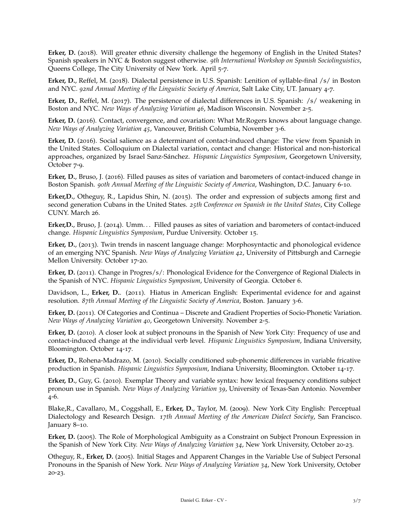**Erker, D.** (2018). Will greater ethnic diversity challenge the hegemony of English in the United States? Spanish speakers in NYC & Boston suggest otherwise. *9th International Workshop on Spanish Sociolinguistics*, Queens College, The City University of New York. April 5-7.

**Erker, D.**, Reffel, M. (2018). Dialectal persistence in U.S. Spanish: Lenition of syllable-final /s/ in Boston and NYC. *92nd Annual Meeting of the Linguistic Society of America*, Salt Lake City, UT. January 4-7.

**Erker, D.**, Reffel, M. (2017). The persistence of dialectal differences in U.S. Spanish: /s/ weakening in Boston and NYC. *New Ways of Analyzing Variation 46*, Madison Wisconsin. November 2-5.

**Erker, D.** (2016). Contact, convergence, and covariation: What Mr.Rogers knows about language change. *New Ways of Analyzing Variation 45*, Vancouver, British Columbia, November 3-6.

**Erker, D.** (2016). Social salience as a determinant of contact-induced change: The view from Spanish in the United States. Colloquium on Dialectal variation, contact and change: Historical and non-historical approaches, organized by Israel Sanz-Sánchez. *Hispanic Linguistics Symposium*, Georgetown University, October 7-9.

**Erker, D.**, Bruso, J. (2016). Filled pauses as sites of variation and barometers of contact-induced change in Boston Spanish. *90th Annual Meeting of the Linguistic Society of America*, Washington, D.C. January 6-10.

**Erker,D.**, Otheguy, R., Lapidus Shin, N. (2015). The order and expression of subjects among first and second generation Cubans in the United States. *25th Conference on Spanish in the United States*, City College CUNY. March 26.

**Erker,D.**, Bruso, J. (2014). Umm. . . Filled pauses as sites of variation and barometers of contact-induced change. *Hispanic Linguistics Symposium*, Purdue University. October 15.

**Erker, D.**, (2013). Twin trends in nascent language change: Morphosyntactic and phonological evidence of an emerging NYC Spanish. *New Ways of Analyzing Variation 42*, University of Pittsburgh and Carnegie Mellon University. October 17-20.

**Erker, D.** (2011). Change in Progres/s/: Phonological Evidence for the Convergence of Regional Dialects in the Spanish of NYC. *Hispanic Linguistics Symposium*, University of Georgia. October 6.

Davidson, L., **Erker, D.**. (2011). Hiatus in American English: Experimental evidence for and against resolution. *87th Annual Meeting of the Linguistic Society of America*, Boston. January 3-6.

**Erker, D.** (2011). Of Categories and Continua – Discrete and Gradient Properties of Socio-Phonetic Variation. *New Ways of Analyzing Variation 40*, Georgetown University. November 2-5.

**Erker, D.** (2010). A closer look at subject pronouns in the Spanish of New York City: Frequency of use and contact-induced change at the individual verb level. *Hispanic Linguistics Symposium*, Indiana University, Bloomington. October 14-17.

**Erker, D.**, Rohena-Madrazo, M. (2010). Socially conditioned sub-phonemic differences in variable fricative production in Spanish. *Hispanic Linguistics Symposium*, Indiana University, Bloomington. October 14-17.

**Erker, D.**, Guy, G. (2010). Exemplar Theory and variable syntax: how lexical frequency conditions subject pronoun use in Spanish. *New Ways of Analyzing Variation 39*, University of Texas-San Antonio. November 4-6.

Blake,R., Cavallaro, M., Coggshall, E., **Erker, D.**, Taylor, M. (2009). New York City English: Perceptual Dialectology and Research Design. *17th Annual Meeting of the American Dialect Society*, San Francisco. January 8–10.

**Erker, D.** (2005). The Role of Morphological Ambiguity as a Constraint on Subject Pronoun Expression in the Spanish of New York City. *New Ways of Analyzing Variation 34*, New York University, October 20-23.

Otheguy, R., **Erker, D.** (2005). Initial Stages and Apparent Changes in the Variable Use of Subject Personal Pronouns in the Spanish of New York. *New Ways of Analyzing Variation 34*, New York University, October 20-23.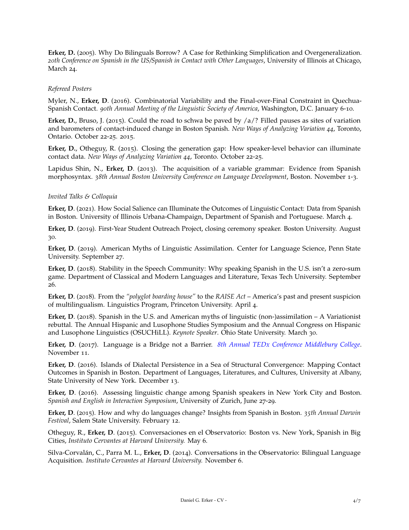**Erker, D.** (2005). Why Do Bilinguals Borrow? A Case for Rethinking Simplification and Overgeneralization. *20th Conference on Spanish in the US/Spanish in Contact with Other Languages*, University of Illinois at Chicago, March 24.

#### *Refereed Posters*

Myler, N., **Erker, D**. (2016). Combinatorial Variability and the Final-over-Final Constraint in Quechua-Spanish Contact. *90th Annual Meeting of the Linguistic Society of America*, Washington, D.C. January 6-10.

**Erker, D.**, Bruso, J. (2015). Could the road to schwa be paved by /a/? Filled pauses as sites of variation and barometers of contact-induced change in Boston Spanish. *New Ways of Analyzing Variation 44*, Toronto, Ontario. October 22-25. 2015.

**Erker, D.**, Otheguy, R. (2015). Closing the generation gap: How speaker-level behavior can illuminate contact data. *New Ways of Analyzing Variation 44*, Toronto. October 22-25.

Lapidus Shin, N., **Erker, D**. (2013). The acquisition of a variable grammar: Evidence from Spanish morphosyntax. *38th Annual Boston University Conference on Language Development*, Boston. November 1-3.

#### *Invited Talks & Colloquia*

**Erker, D**. (2021). How Social Salience can Illuminate the Outcomes of Linguistic Contact: Data from Spanish in Boston. University of Illinois Urbana-Champaign, Department of Spanish and Portuguese. March 4.

**Erker, D**. (2019). First-Year Student Outreach Project, closing ceremony speaker. Boston University. August 30.

**Erker, D**. (2019). American Myths of Linguistic Assimilation. Center for Language Science, Penn State University. September 27.

**Erker, D**. (2018). Stability in the Speech Community: Why speaking Spanish in the U.S. isn't a zero-sum game. Department of Classical and Modern Languages and Literature, Texas Tech University. September 26.

**Erker, D**. (2018). From the *"polyglot boarding house"* to the *RAISE Act* – America's past and present suspicion of multilingualism. Linguistics Program, Princeton University. April 4.

**Erker, D**. (2018). Spanish in the U.S. and American myths of linguistic (non-)assimilation – A Variationist rebuttal. The Annual Hispanic and Lusophone Studies Symposium and the Annual Congress on Hispanic and Lusophone Linguistics (OSUCHiLL). *Keynote Speaker*. Ohio State University. March 30.

**Erker, D**. (2017). Language is a Bridge not a Barrier. *8[th Annual TEDx Conference Middlebury College](https://www.youtube.com/watch?v=uz6fDb4dv2w)*. November 11.

**Erker, D**. (2016). Islands of Dialectal Persistence in a Sea of Structural Convergence: Mapping Contact Outcomes in Spanish in Boston. Department of Languages, Literatures, and Cultures, University at Albany, State University of New York. December 13.

**Erker, D**. (2016). Assessing linguistic change among Spanish speakers in New York City and Boston. *Spanish and English in Interaction Symposium*, University of Zurich, June 27-29.

**Erker, D**. (2015). How and why do languages change? Insights from Spanish in Boston. *35th Annual Darwin Festival*, Salem State University. February 12.

Otheguy, R., **Erker, D**. (2015). Conversaciones en el Observatorio: Boston vs. New York, Spanish in Big Cities, *Instituto Cervantes at Harvard University.* May 6.

Silva-Corvalán, C., Parra M. L., **Erker, D**. (2014). Conversations in the Observatorio: Bilingual Language Acquisition. *Instituto Cervantes at Harvard University.* November 6.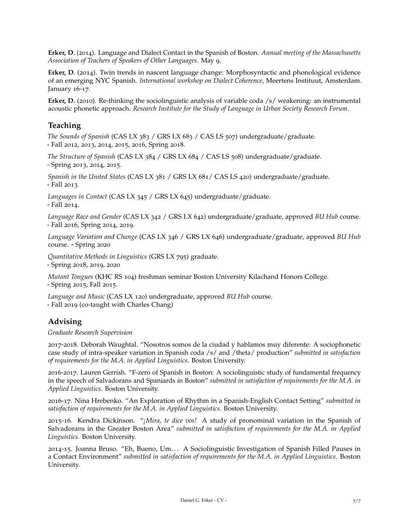**Erker, D**. (2014). Language and Dialect Contact in the Spanish of Boston. *Annual meeting of the Massachusetts Association of Teachers of Speakers of Other Languages*. May 9.

**Erker, D**. (2014). Twin trends in nascent language change: Morphosyntactic and phonological evidence of an emerging NYC Spanish. *International workshop on Dialect Coherence*, Meertens Instituut, Amsterdam. January 16-17.

**Erker, D.** (2010). Re-thinking the sociolinguistic analysis of variable coda /s/ weakening: an instrumental acoustic phonetic approach. *Research Institute for the Study of Language in Urban Society Research Forum.*

# **Teaching**

*The Sounds of Spanish* (CAS LX 383 / GRS LX 683 / CAS LS 507) undergraduate/graduate. - Fall 2012, 2013, 2014, 2015, 2016, Spring 2018.

*The Structure of Spanish* (CAS LX 384 / GRS LX 684 / CAS LS 508) undergraduate/graduate. - Spring 2013, 2014, 2015.

*Spanish in the United States* (CAS LX 381 / GRS LX 681/ CAS LS 420) undergraduate/graduate. - Fall 2013.

*Languages in Contact* (CAS LX 345 / GRS LX 645) undergraduate/graduate. - Fall 2014.

*Language Race and Gender* (CAS LX 342 / GRS LX 642) undergraduate/graduate, approved *BU Hub* course. - Fall 2016, Spring 2014, 2019.

*Language Variation and Change* (CAS LX 346 / GRS LX 646) undergraduate/graduate, approved *BU Hub* course. - Spring 2020

*Quantitative Methods in Linguistics* (GRS LX 795) graduate.

- Spring 2018, 2019, 2020

*Mutant Tongues* (KHC RS 104) freshman seminar Boston University Kilachand Honors College. - Spring 2015, Fall 2015.

*Language and Music* (CAS LX 120) undergraduate, approved *BU Hub* course.

- Fall 2019 (co-taught with Charles Chang)

# **Advising**

*Graduate Research Supervision*

2017-2018. Deborah Waughtal. "Nosotros somos de la ciudad y hablamos muy diferente: A sociophonetic case study of intra-speaker variation in Spanish coda /s/ and /theta/ production" *submitted in satisfaction of requirements for the M.A. in Applied Linguistics*. Boston University.

2016-2017. Lauren Gerrish. "F-zero of Spanish in Boston: A sociolinguistic study of fundamental frequency in the speech of Salvadorans and Spaniards in Boston" *submitted in satisfaction of requirements for the M.A. in Applied Linguistics*. Boston University.

2016-17. Nina Hrebenko. "An Exploration of Rhythm in a Spanish-English Contact Setting" *submitted in satisfaction of requirements for the M.A. in Applied Linguistics*. Boston University.

2015-16. Kendra Dickinson. "*¡Mira, te dice vos!* A study of pronominal variation in the Spanish of Salvadorans in the Greater Boston Area" *submitted in satisfaction of requirements for the M.A. in Applied Linguistics*. Boston University.

2014-15. Joanna Bruso. "Eh, Bueno, Um. . . A Sociolinguistic Investigation of Spanish Filled Pauses in a Contact Environment" *submitted in satisfaction of requirements for the M.A. in Applied Linguistics*. Boston University.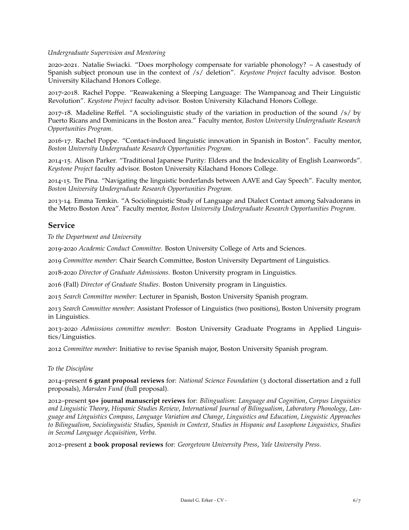#### *Undergraduate Supervision and Mentoring*

2020-2021. Natalie Swiacki. "Does morphology compensate for variable phonology? – A casestudy of Spanish subject pronoun use in the context of /s/ deletion". *Keystone Project* faculty advisor. Boston University Kilachand Honors College.

2017-2018. Rachel Poppe. "Reawakening a Sleeping Language: The Wampanoag and Their Linguistic Revolution". *Keystone Project* faculty advisor. Boston University Kilachand Honors College.

2017-18. Madeline Reffel. "A sociolinguistic study of the variation in production of the sound /s/ by Puerto Ricans and Dominicans in the Boston area." Faculty mentor, *Boston University Undergraduate Research Opportunities Program*.

2016-17. Rachel Poppe. "Contact-induced linguistic innovation in Spanish in Boston". Faculty mentor, *Boston University Undergraduate Research Opportunities Program*.

2014-15. Alison Parker. "Traditional Japanese Purity: Elders and the Indexicality of English Loanwords". *Keystone Project* faculty advisor. Boston University Kilachand Honors College.

2014-15. Tre Pina. "Navigating the linguistic borderlands between AAVE and Gay Speech". Faculty mentor, *Boston University Undergraduate Research Opportunities Program*.

2013-14. Emma Temkin. "A Sociolinguistic Study of Language and Dialect Contact among Salvadorans in the Metro Boston Area". Faculty mentor, *Boston University Undergraduate Research Opportunities Program*.

## **Service**

*To the Department and University*

2019-2020 *Academic Conduct Committee*. Boston University College of Arts and Sciences.

2019 *Committee member*: Chair Search Committee, Boston University Department of Linguistics.

2018-2020 *Director of Graduate Admissions*. Boston University program in Linguistics.

2016 (Fall) *Director of Graduate Studies*. Boston University program in Linguistics.

2015 *Search Committee member*: Lecturer in Spanish, Boston University Spanish program.

2013 *Search Committee member*: Assistant Professor of Linguistics (two positions), Boston University program in Linguistics.

2013-2020 *Admissions committee member*: Boston University Graduate Programs in Applied Linguistics/Linguistics.

2012 *Committee member*: Initiative to revise Spanish major, Boston University Spanish program.

#### *To the Discipline*

2014–present **6 grant proposal reviews** for: *National Science Foundation* (3 doctoral dissertation and 2 full proposals), *Marsden Fund* (full proposal).

2012–present **50+ journal manuscript reviews** for: *Bilingualism: Language and Cognition*, *Corpus Linguistics and Linguistic Theory*, *Hispanic Studies Review*, *International Journal of Bilingualism*, *Laboratory Phonology*, *Language and Linguistics Compass*, *Language Variation and Change*, *Linguistics and Education*, *Linguistic Approaches to Bilingualism*, *Sociolinguistic Studies*, *Spanish in Context*, *Studies in Hispanic and Lusophone Linguistics*, *Studies in Second Language Acquisition*, *Verba*.

2012–present **2 book proposal reviews** for: *Georgetown University Press*, *Yale University Press*.